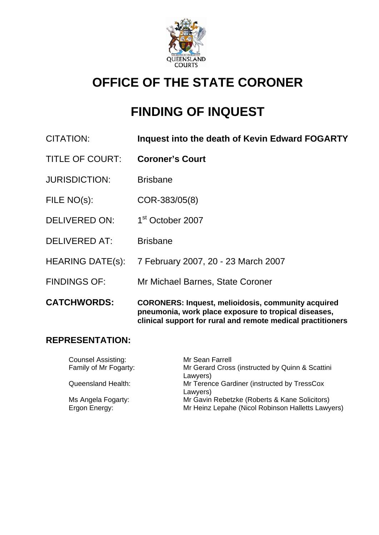

# **OFFICE OF THE STATE CORONER**

# **FINDING OF INQUEST**

| <b>CITATION:</b> | Inquest into the death of Kevin Edward FOGARTY |
|------------------|------------------------------------------------|
|------------------|------------------------------------------------|

- TITLE OF COURT: **Coroner's Court**
- JURISDICTION: Brisbane
- FILE NO(s): COR-383/05(8)
- DELIVERED ON: 1<sup>st</sup> October 2007
- DELIVERED AT: Brisbane
- HEARING DATE(s): 7 February 2007, 20 23 March 2007
- FINDINGS OF: Mr Michael Barnes, State Coroner

**CATCHWORDS: CORONERS: Inquest, melioidosis, community acquired pneumonia, work place exposure to tropical diseases, clinical support for rural and remote medical practitioners**

### **REPRESENTATION:**

Counsel Assisting: Mr Sean Farrell Family of Mr Fogarty: Mr Gerard Cross (instructed by Quinn & Scattini Lawyers) Queensland Health: Mr Terence Gardiner (instructed by TressCox Lawyers) Ms Angela Fogarty: Mr Gavin Rebetzke (Roberts & Kane Solicitors) Ergon Energy: Mr Heinz Lepahe (Nicol Robinson Halletts Lawyers)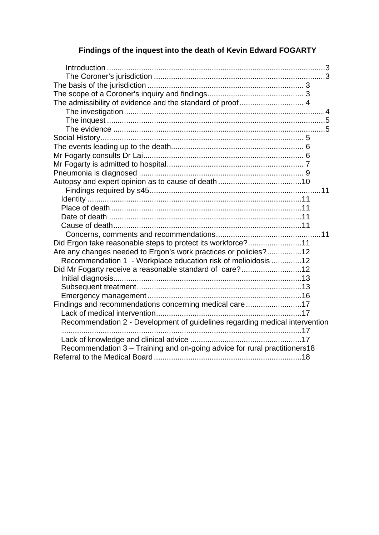# **Findings of the inquest into the death of Kevin Edward FOGARTY**

| The admissibility of evidence and the standard of proof 4                   |  |
|-----------------------------------------------------------------------------|--|
|                                                                             |  |
|                                                                             |  |
|                                                                             |  |
|                                                                             |  |
|                                                                             |  |
|                                                                             |  |
|                                                                             |  |
|                                                                             |  |
|                                                                             |  |
|                                                                             |  |
|                                                                             |  |
|                                                                             |  |
|                                                                             |  |
|                                                                             |  |
|                                                                             |  |
| Did Ergon take reasonable steps to protect its workforce?11                 |  |
| Are any changes needed to Ergon's work practices or policies?12             |  |
| Recommendation 1 - Workplace education risk of melioidosis 12               |  |
| Did Mr Fogarty receive a reasonable standard of care?12                     |  |
|                                                                             |  |
|                                                                             |  |
|                                                                             |  |
| Findings and recommendations concerning medical care17                      |  |
|                                                                             |  |
| Recommendation 2 - Development of guidelines regarding medical intervention |  |
|                                                                             |  |
|                                                                             |  |
| Recommendation 3 - Training and on-going advice for rural practitioners18   |  |
|                                                                             |  |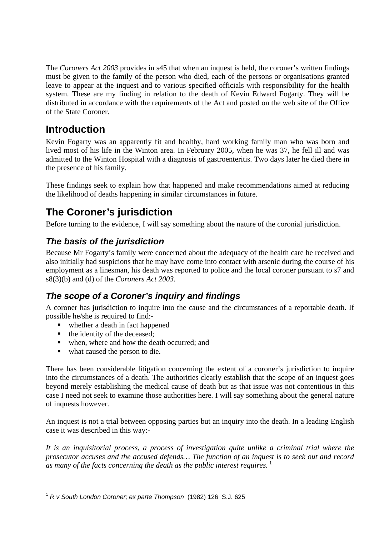<span id="page-2-0"></span>The *Coroners Act 2003* provides in s45 that when an inquest is held, the coroner's written findings must be given to the family of the person who died, each of the persons or organisations granted leave to appear at the inquest and to various specified officials with responsibility for the health system. These are my finding in relation to the death of Kevin Edward Fogarty. They will be distributed in accordance with the requirements of the Act and posted on the web site of the Office of the State Coroner.

# **Introduction**

Kevin Fogarty was an apparently fit and healthy, hard working family man who was born and lived most of his life in the Winton area. In February 2005, when he was 37, he fell ill and was admitted to the Winton Hospital with a diagnosis of gastroenteritis. Two days later he died there in the presence of his family.

These findings seek to explain how that happened and make recommendations aimed at reducing the likelihood of deaths happening in similar circumstances in future.

# **The Coroner's jurisdiction**

Before turning to the evidence, I will say something about the nature of the coronial jurisdiction.

# *The basis of the jurisdiction*

Because Mr Fogarty's family were concerned about the adequacy of the health care he received and also initially had suspicions that he may have come into contact with arsenic during the course of his employment as a linesman, his death was reported to police and the local coroner pursuant to s7 and s8(3)(b) and (d) of the *Coroners Act 2003.*

# *The scope of a Coroner's inquiry and findings*

A coroner has jurisdiction to inquire into the cause and the circumstances of a reportable death. If possible he/she is required to find:-

- whether a death in fact happened
- $\blacksquare$  the identity of the deceased;
- when, where and how the death occurred; and
- what caused the person to die.

There has been considerable litigation concerning the extent of a coroner's jurisdiction to inquire into the circumstances of a death. The authorities clearly establish that the scope of an inquest goes beyond merely establishing the medical cause of death but as that issue was not contentious in this case I need not seek to examine those authorities here. I will say something about the general nature of inquests however.

An inquest is not a trial between opposing parties but an inquiry into the death. In a leading English case it was described in this way:-

*It is an inquisitorial process, a process of investigation quite unlike a criminal trial where the prosecutor accuses and the accused defends… The function of an inquest is to seek out and record as many of the facts concerning the death as the public interest requires.* [1](#page-2-1)

<span id="page-2-1"></span><sup>&</sup>lt;u>.</u> <sup>1</sup> *R v South London Coroner; ex parte Thompson* (1982) 126 S.J. 625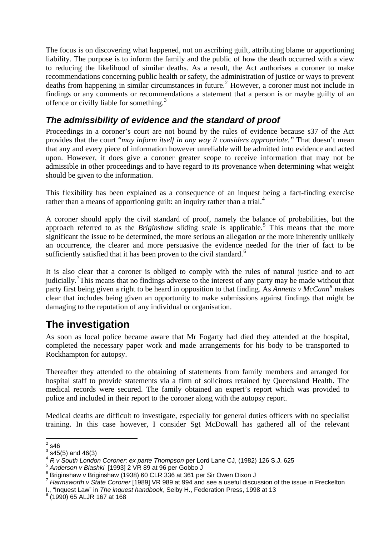<span id="page-3-0"></span>The focus is on discovering what happened, not on ascribing guilt, attributing blame or apportioning liability. The purpose is to inform the family and the public of how the death occurred with a view to reducing the likelihood of similar deaths. As a result, the Act authorises a coroner to make recommendations concerning public health or safety, the administration of justice or ways to prevent deaths from happening in similar circumstances in future.<sup>[2](#page-3-1)</sup> However, a coroner must not include in findings or any comments or recommendations a statement that a person is or maybe guilty of an offence or civilly liable for something.[3](#page-3-2)

# *The admissibility of evidence and the standard of proof*

Proceedings in a coroner's court are not bound by the rules of evidence because s37 of the Act provides that the court "*may inform itself in any way it considers appropriate."* That doesn't mean that any and every piece of information however unreliable will be admitted into evidence and acted upon. However, it does give a coroner greater scope to receive information that may not be admissible in other proceedings and to have regard to its provenance when determining what weight should be given to the information.

This flexibility has been explained as a consequence of an inquest being a fact-finding exercise rather than a means of apportioning guilt: an inquiry rather than a trial.<sup>[4](#page-3-3)</sup>

A coroner should apply the civil standard of proof, namely the balance of probabilities, but the approach referred to as the *Briginshaw* sliding scale is applicable.<sup>[5](#page-3-4)</sup> This means that the more significant the issue to be determined, the more serious an allegation or the more inherently unlikely an occurrence, the clearer and more persuasive the evidence needed for the trier of fact to be sufficiently satisfied that it has been proven to the civil standard.<sup>[6](#page-3-5)</sup>

It is also clear that a coroner is obliged to comply with the rules of natural justice and to act judicially.<sup>[7](#page-3-6)</sup>This means that no findings adverse to the interest of any party may be made without that party first being given a right to be heard in opposition to that finding. As *Annetts v McCann*<sup>[8](#page-3-7)</sup> makes clear that includes being given an opportunity to make submissions against findings that might be damaging to the reputation of any individual or organisation.

# **The investigation**

As soon as local police became aware that Mr Fogarty had died they attended at the hospital, completed the necessary paper work and made arrangements for his body to be transported to Rockhampton for autopsy.

Thereafter they attended to the obtaining of statements from family members and arranged for hospital staff to provide statements via a firm of solicitors retained by Queensland Health. The medical records were secured. The family obtained an expert's report which was provided to police and included in their report to the coroner along with the autopsy report.

Medical deaths are difficult to investigate, especially for general duties officers with no specialist training. In this case however, I consider Sgt McDowall has gathered all of the relevant

 $\frac{1}{2}$ s46

<span id="page-3-1"></span> $3$  s45(5) and 46(3)

<span id="page-3-3"></span><span id="page-3-2"></span><sup>4</sup> *R v South London Coroner; ex parte Thompson* per Lord Lane CJ, (1982) 126 S.J. 625<br>
<sup>5</sup> *Anderson v Blashki* [1993] 2 VR 89 at 96 per Gobbo J

<span id="page-3-5"></span><span id="page-3-4"></span><sup>6</sup> Briginshaw v Briginshaw (1938) 60 CLR 336 at 361 per Sir Owen Dixon J

<span id="page-3-6"></span><sup>7</sup> *Harmsworth v State Coroner* [1989] VR 989 at 994 and see a useful discussion of the issue in Freckelton I., "Inquest Law" in *The inquest handbook*, Selby H., Federation Press, 1998 at 13 8

<span id="page-3-7"></span> <sup>(1990) 65</sup> ALJR 167 at 168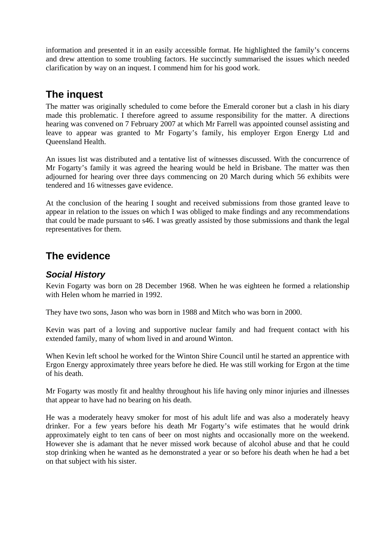<span id="page-4-0"></span>information and presented it in an easily accessible format. He highlighted the family's concerns and drew attention to some troubling factors. He succinctly summarised the issues which needed clarification by way on an inquest. I commend him for his good work.

# **The inquest**

The matter was originally scheduled to come before the Emerald coroner but a clash in his diary made this problematic. I therefore agreed to assume responsibility for the matter. A directions hearing was convened on 7 February 2007 at which Mr Farrell was appointed counsel assisting and leave to appear was granted to Mr Fogarty's family, his employer Ergon Energy Ltd and Queensland Health.

An issues list was distributed and a tentative list of witnesses discussed. With the concurrence of Mr Fogarty's family it was agreed the hearing would be held in Brisbane. The matter was then adjourned for hearing over three days commencing on 20 March during which 56 exhibits were tendered and 16 witnesses gave evidence.

At the conclusion of the hearing I sought and received submissions from those granted leave to appear in relation to the issues on which I was obliged to make findings and any recommendations that could be made pursuant to s46. I was greatly assisted by those submissions and thank the legal representatives for them.

# **The evidence**

# *Social History*

Kevin Fogarty was born on 28 December 1968. When he was eighteen he formed a relationship with Helen whom he married in 1992.

They have two sons, Jason who was born in 1988 and Mitch who was born in 2000.

Kevin was part of a loving and supportive nuclear family and had frequent contact with his extended family, many of whom lived in and around Winton.

When Kevin left school he worked for the Winton Shire Council until he started an apprentice with Ergon Energy approximately three years before he died. He was still working for Ergon at the time of his death.

Mr Fogarty was mostly fit and healthy throughout his life having only minor injuries and illnesses that appear to have had no bearing on his death.

He was a moderately heavy smoker for most of his adult life and was also a moderately heavy drinker. For a few years before his death Mr Fogarty's wife estimates that he would drink approximately eight to ten cans of beer on most nights and occasionally more on the weekend. However she is adamant that he never missed work because of alcohol abuse and that he could stop drinking when he wanted as he demonstrated a year or so before his death when he had a bet on that subject with his sister.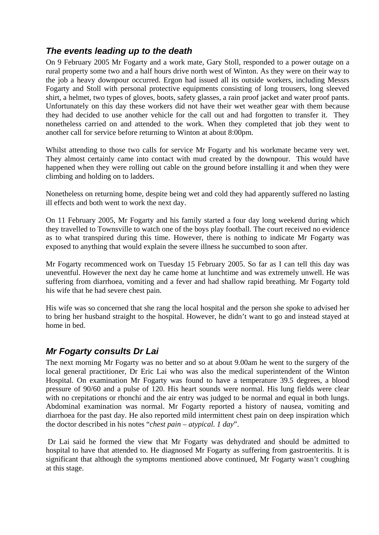## <span id="page-5-0"></span>*The events leading up to the death*

On 9 February 2005 Mr Fogarty and a work mate, Gary Stoll, responded to a power outage on a rural property some two and a half hours drive north west of Winton. As they were on their way to the job a heavy downpour occurred. Ergon had issued all its outside workers, including Messrs Fogarty and Stoll with personal protective equipments consisting of long trousers, long sleeved shirt, a helmet, two types of gloves, boots, safety glasses, a rain proof jacket and water proof pants. Unfortunately on this day these workers did not have their wet weather gear with them because they had decided to use another vehicle for the call out and had forgotten to transfer it. They nonetheless carried on and attended to the work. When they completed that job they went to another call for service before returning to Winton at about 8:00pm.

Whilst attending to those two calls for service Mr Fogarty and his workmate became very wet. They almost certainly came into contact with mud created by the downpour. This would have happened when they were rolling out cable on the ground before installing it and when they were climbing and holding on to ladders.

Nonetheless on returning home, despite being wet and cold they had apparently suffered no lasting ill effects and both went to work the next day.

On 11 February 2005, Mr Fogarty and his family started a four day long weekend during which they travelled to Townsville to watch one of the boys play football. The court received no evidence as to what transpired during this time. However, there is nothing to indicate Mr Fogarty was exposed to anything that would explain the severe illness he succumbed to soon after.

Mr Fogarty recommenced work on Tuesday 15 February 2005. So far as I can tell this day was uneventful. However the next day he came home at lunchtime and was extremely unwell. He was suffering from diarrhoea, vomiting and a fever and had shallow rapid breathing. Mr Fogarty told his wife that he had severe chest pain.

His wife was so concerned that she rang the local hospital and the person she spoke to advised her to bring her husband straight to the hospital. However, he didn't want to go and instead stayed at home in bed.

### *Mr Fogarty consults Dr Lai*

The next morning Mr Fogarty was no better and so at about 9.00am he went to the surgery of the local general practitioner, Dr Eric Lai who was also the medical superintendent of the Winton Hospital. On examination Mr Fogarty was found to have a temperature 39.5 degrees, a blood pressure of 90/60 and a pulse of 120. His heart sounds were normal. His lung fields were clear with no crepitations or rhonchi and the air entry was judged to be normal and equal in both lungs. Abdominal examination was normal. Mr Fogarty reported a history of nausea, vomiting and diarrhoea for the past day. He also reported mild intermittent chest pain on deep inspiration which the doctor described in his notes "*chest pain – atypical. 1 day*".

 Dr Lai said he formed the view that Mr Fogarty was dehydrated and should be admitted to hospital to have that attended to. He diagnosed Mr Fogarty as suffering from gastroenteritis. It is significant that although the symptoms mentioned above continued, Mr Fogarty wasn't coughing at this stage.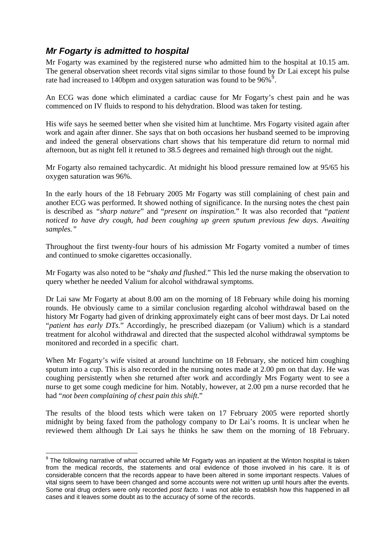# <span id="page-6-0"></span>*Mr Fogarty is admitted to hospital*

1

Mr Fogarty was examined by the registered nurse who admitted him to the hospital at 10.15 am. The general observation sheet records vital signs similar to those found by Dr Lai except his pulse rate had increased to 140 bpm and oxygen saturation was found to be  $96\%$  $96\%$ <sup>5</sup>.

An ECG was done which eliminated a cardiac cause for Mr Fogarty's chest pain and he was commenced on IV fluids to respond to his dehydration. Blood was taken for testing.

His wife says he seemed better when she visited him at lunchtime. Mrs Fogarty visited again after work and again after dinner. She says that on both occasions her husband seemed to be improving and indeed the general observations chart shows that his temperature did return to normal mid afternoon, but as night fell it retuned to 38.5 degrees and remained high through out the night.

Mr Fogarty also remained tachycardic. At midnight his blood pressure remained low at 95/65 his oxygen saturation was 96%.

In the early hours of the 18 February 2005 Mr Fogarty was still complaining of chest pain and another ECG was performed. It showed nothing of significance. In the nursing notes the chest pain is described as *"sharp nature*" and "*present on inspiration.*" It was also recorded that "*patient noticed to have dry cough, had been coughing up green sputum previous few days. Awaiting samples."*

Throughout the first twenty-four hours of his admission Mr Fogarty vomited a number of times and continued to smoke cigarettes occasionally.

Mr Fogarty was also noted to be "*shaky and flushed.*" This led the nurse making the observation to query whether he needed Valium for alcohol withdrawal symptoms.

Dr Lai saw Mr Fogarty at about 8.00 am on the morning of 18 February while doing his morning rounds. He obviously came to a similar conclusion regarding alcohol withdrawal based on the history Mr Fogarty had given of drinking approximately eight cans of beer most days. Dr Lai noted "*patient has early DTs.*" Accordingly, he prescribed diazepam (or Valium) which is a standard treatment for alcohol withdrawal and directed that the suspected alcohol withdrawal symptoms be monitored and recorded in a specific chart.

When Mr Fogarty's wife visited at around lunchtime on 18 February, she noticed him coughing sputum into a cup. This is also recorded in the nursing notes made at 2.00 pm on that day. He was coughing persistently when she returned after work and accordingly Mrs Fogarty went to see a nurse to get some cough medicine for him. Notably, however, at 2.00 pm a nurse recorded that he had "*not been complaining of chest pain this shift*."

The results of the blood tests which were taken on 17 February 2005 were reported shortly midnight by being faxed from the pathology company to Dr Lai's rooms. It is unclear when he reviewed them although Dr Lai says he thinks he saw them on the morning of 18 February.

<span id="page-6-1"></span><sup>&</sup>lt;sup>9</sup> The following narrative of what occurred while Mr Fogarty was an inpatient at the Winton hospital is taken from the medical records, the statements and oral evidence of those involved in his care. It is of considerable concern that the records appear to have been altered in some important respects. Values of vital signs seem to have been changed and some accounts were not written up until hours after the events. Some oral drug orders were only recorded *post facto.* I was not able to establish how this happened in all cases and it leaves some doubt as to the accuracy of some of the records.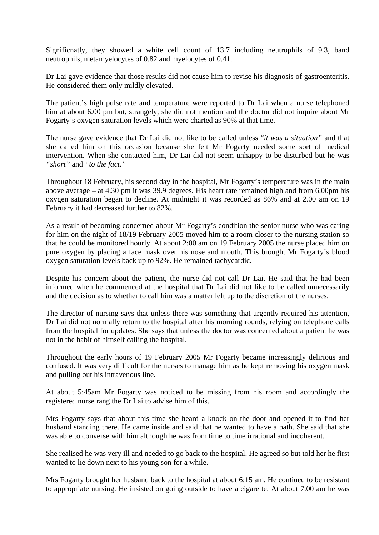Significnatly, they showed a white cell count of 13.7 including neutrophils of 9.3, band neutrophils, metamyelocytes of 0.82 and myelocytes of 0.41.

Dr Lai gave evidence that those results did not cause him to revise his diagnosis of gastroenteritis. He considered them only mildly elevated.

The patient's high pulse rate and temperature were reported to Dr Lai when a nurse telephoned him at about 6.00 pm but, strangely, she did not mention and the doctor did not inquire about Mr Fogarty's oxygen saturation levels which were charted as 90% at that time.

The nurse gave evidence that Dr Lai did not like to be called unless "*it was a situation"* and that she called him on this occasion because she felt Mr Fogarty needed some sort of medical intervention. When she contacted him, Dr Lai did not seem unhappy to be disturbed but he was *"short"* and *"to the fact."*

Throughout 18 February, his second day in the hospital, Mr Fogarty's temperature was in the main above average – at 4.30 pm it was 39.9 degrees. His heart rate remained high and from 6.00pm his oxygen saturation began to decline. At midnight it was recorded as 86% and at 2.00 am on 19 February it had decreased further to 82%.

As a result of becoming concerned about Mr Fogarty's condition the senior nurse who was caring for him on the night of 18/19 February 2005 moved him to a room closer to the nursing station so that he could be monitored hourly. At about 2:00 am on 19 February 2005 the nurse placed him on pure oxygen by placing a face mask over his nose and mouth. This brought Mr Fogarty's blood oxygen saturation levels back up to 92%. He remained tachycardic.

Despite his concern about the patient, the nurse did not call Dr Lai. He said that he had been informed when he commenced at the hospital that Dr Lai did not like to be called unnecessarily and the decision as to whether to call him was a matter left up to the discretion of the nurses.

The director of nursing says that unless there was something that urgently required his attention, Dr Lai did not normally return to the hospital after his morning rounds, relying on telephone calls from the hospital for updates. She says that unless the doctor was concerned about a patient he was not in the habit of himself calling the hospital.

Throughout the early hours of 19 February 2005 Mr Fogarty became increasingly delirious and confused. It was very difficult for the nurses to manage him as he kept removing his oxygen mask and pulling out his intravenous line.

At about 5:45am Mr Fogarty was noticed to be missing from his room and accordingly the registered nurse rang the Dr Lai to advise him of this.

Mrs Fogarty says that about this time she heard a knock on the door and opened it to find her husband standing there. He came inside and said that he wanted to have a bath. She said that she was able to converse with him although he was from time to time irrational and incoherent.

She realised he was very ill and needed to go back to the hospital. He agreed so but told her he first wanted to lie down next to his young son for a while.

Mrs Fogarty brought her husband back to the hospital at about 6:15 am. He contiued to be resistant to appropriate nursing. He insisted on going outside to have a cigarette. At about 7.00 am he was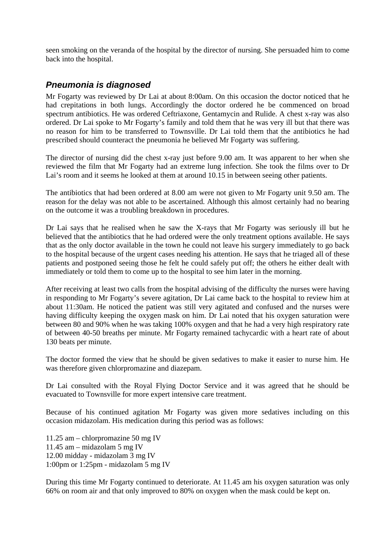<span id="page-8-0"></span>seen smoking on the veranda of the hospital by the director of nursing. She persuaded him to come back into the hospital.

## *Pneumonia is diagnosed*

Mr Fogarty was reviewed by Dr Lai at about 8:00am. On this occasion the doctor noticed that he had crepitations in both lungs. Accordingly the doctor ordered he be commenced on broad spectrum antibiotics. He was ordered Ceftriaxone, Gentamycin and Rulide. A chest x-ray was also ordered. Dr Lai spoke to Mr Fogarty's family and told them that he was very ill but that there was no reason for him to be transferred to Townsville. Dr Lai told them that the antibiotics he had prescribed should counteract the pneumonia he believed Mr Fogarty was suffering.

The director of nursing did the chest x-ray just before 9.00 am. It was apparent to her when she reviewed the film that Mr Fogarty had an extreme lung infection. She took the films over to Dr Lai's room and it seems he looked at them at around 10.15 in between seeing other patients.

The antibiotics that had been ordered at 8.00 am were not given to Mr Fogarty unit 9.50 am. The reason for the delay was not able to be ascertained. Although this almost certainly had no bearing on the outcome it was a troubling breakdown in procedures.

Dr Lai says that he realised when he saw the X-rays that Mr Fogarty was seriously ill but he believed that the antibiotics that he had ordered were the only treatment options available. He says that as the only doctor available in the town he could not leave his surgery immediately to go back to the hospital because of the urgent cases needing his attention. He says that he triaged all of these patients and postponed seeing those he felt he could safely put off; the others he either dealt with immediately or told them to come up to the hospital to see him later in the morning.

After receiving at least two calls from the hospital advising of the difficulty the nurses were having in responding to Mr Fogarty's severe agitation, Dr Lai came back to the hospital to review him at about 11:30am. He noticed the patient was still very agitated and confused and the nurses were having difficulty keeping the oxygen mask on him. Dr Lai noted that his oxygen saturation were between 80 and 90% when he was taking 100% oxygen and that he had a very high respiratory rate of between 40-50 breaths per minute. Mr Fogarty remained tachycardic with a heart rate of about 130 beats per minute.

The doctor formed the view that he should be given sedatives to make it easier to nurse him. He was therefore given chlorpromazine and diazepam.

Dr Lai consulted with the Royal Flying Doctor Service and it was agreed that he should be evacuated to Townsville for more expert intensive care treatment.

Because of his continued agitation Mr Fogarty was given more sedatives including on this occasion midazolam. His medication during this period was as follows:

11.25 am – chlorpromazine 50 mg IV 11.45 am – midazolam 5 mg IV 12.00 midday - midazolam 3 mg IV 1:00pm or 1:25pm - midazolam 5 mg IV

During this time Mr Fogarty continued to deteriorate. At 11.45 am his oxygen saturation was only 66% on room air and that only improved to 80% on oxygen when the mask could be kept on.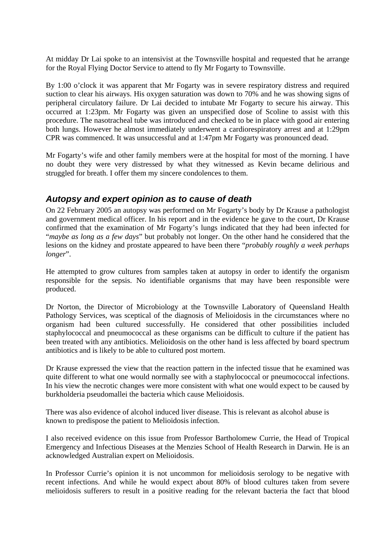<span id="page-9-0"></span>At midday Dr Lai spoke to an intensivist at the Townsville hospital and requested that he arrange for the Royal Flying Doctor Service to attend to fly Mr Fogarty to Townsville.

By 1:00 o'clock it was apparent that Mr Fogarty was in severe respiratory distress and required suction to clear his airways. His oxygen saturation was down to 70% and he was showing signs of peripheral circulatory failure. Dr Lai decided to intubate Mr Fogarty to secure his airway. This occurred at 1:23pm. Mr Fogarty was given an unspecified dose of Scoline to assist with this procedure. The nasotracheal tube was introduced and checked to be in place with good air entering both lungs. However he almost immediately underwent a cardiorespiratory arrest and at 1:29pm CPR was commenced. It was unsuccessful and at 1:47pm Mr Fogarty was pronounced dead.

Mr Fogarty's wife and other family members were at the hospital for most of the morning. I have no doubt they were very distressed by what they witnessed as Kevin became delirious and struggled for breath. I offer them my sincere condolences to them.

### *Autopsy and expert opinion as to cause of death*

On 22 February 2005 an autopsy was performed on Mr Fogarty's body by Dr Krause a pathologist and government medical officer. In his report and in the evidence he gave to the court, Dr Krause confirmed that the examination of Mr Fogarty's lungs indicated that they had been infected for "*maybe as long as a few days*" but probably not longer. On the other hand he considered that the lesions on the kidney and prostate appeared to have been there "*probably roughly a week perhaps longer*".

He attempted to grow cultures from samples taken at autopsy in order to identify the organism responsible for the sepsis. No identifiable organisms that may have been responsible were produced.

Dr Norton, the Director of Microbiology at the Townsville Laboratory of Queensland Health Pathology Services, was sceptical of the diagnosis of Melioidosis in the circumstances where no organism had been cultured successfully. He considered that other possibilities included staphylococcal and pneumococcal as these organisms can be difficult to culture if the patient has been treated with any antibiotics. Melioidosis on the other hand is less affected by board spectrum antibiotics and is likely to be able to cultured post mortem.

Dr Krause expressed the view that the reaction pattern in the infected tissue that he examined was quite different to what one would normally see with a staphylococcal or pneumococcal infections. In his view the necrotic changes were more consistent with what one would expect to be caused by burkholderia pseudomallei the bacteria which cause Melioidosis.

There was also evidence of alcohol induced liver disease. This is relevant as alcohol abuse is known to predispose the patient to Melioidosis infection.

I also received evidence on this issue from Professor Bartholomew Currie, the Head of Tropical Emergency and Infectious Diseases at the Menzies School of Health Research in Darwin. He is an acknowledged Australian expert on Melioidosis.

In Professor Currie's opinion it is not uncommon for melioidosis serology to be negative with recent infections. And while he would expect about 80% of blood cultures taken from severe melioidosis sufferers to result in a positive reading for the relevant bacteria the fact that blood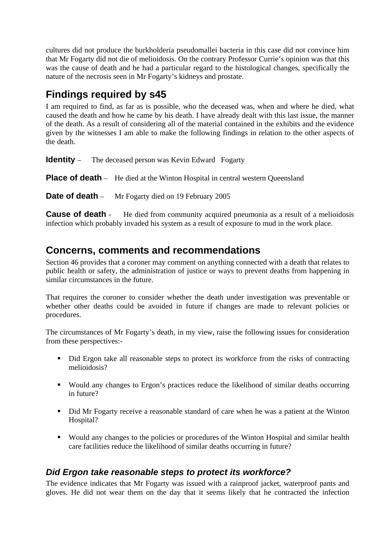<span id="page-10-0"></span>cultures did not produce the burkholderia pseudomallei bacteria in this case did not convince him that Mr Fogarty did not die of melioidosis. On the contrary Professor Currie's opinion was that this was the cause of death and he had a particular regard to the histological changes, specifically the nature of the necrosis seen in Mr Fogarty's kidneys and prostate.

# **Findings required by s45**

I am required to find, as far as is possible, who the deceased was, when and where he died, what caused the death and how he came by his death. I have already dealt with this last issue, the manner of the death. As a result of considering all of the material contained in the exhibits and the evidence given by the witnesses I am able to make the following findings in relation to the other aspects of the death.

**Identity** – The deceased person was Kevin Edward Fogarty

**Place of death** – He died at the Winton Hospital in central western Oueensland

**Date of death** – Mr Fogarty died on 19 February 2005

**Cause of death** - He died from community acquired pneumonia as a result of a melioidosis infection which probably invaded his system as a result of exposure to mud in the work place.

# **Concerns, comments and recommendations**

Section 46 provides that a coroner may comment on anything connected with a death that relates to public health or safety, the administration of justice or ways to prevent deaths from happening in similar circumstances in the future.

That requires the coroner to consider whether the death under investigation was preventable or whether other deaths could be avoided in future if changes are made to relevant policies or procedures.

The circumstances of Mr Fogarty's death, in my view, raise the following issues for consideration from these perspectives:-

- Did Ergon take all reasonable steps to protect its workforce from the risks of contracting melioidosis?
- Would any changes to Ergon's practices reduce the likelihood of similar deaths occurring in future?
- Did Mr Fogarty receive a reasonable standard of care when he was a patient at the Winton Hospital?
- Would any changes to the policies or procedures of the Winton Hospital and similar health care facilities reduce the likelihood of similar deaths occurring in future?

# *Did Ergon take reasonable steps to protect its workforce?*

The evidence indicates that Mr Fogarty was issued with a rainproof jacket, waterproof pants and gloves. He did not wear them on the day that it seems likely that he contracted the infection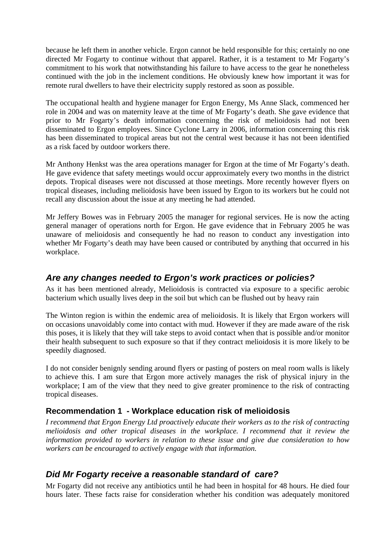<span id="page-11-0"></span>because he left them in another vehicle. Ergon cannot be held responsible for this; certainly no one directed Mr Fogarty to continue without that apparel. Rather, it is a testament to Mr Fogarty's commitment to his work that notwithstanding his failure to have access to the gear he nonetheless continued with the job in the inclement conditions. He obviously knew how important it was for remote rural dwellers to have their electricity supply restored as soon as possible.

The occupational health and hygiene manager for Ergon Energy, Ms Anne Slack, commenced her role in 2004 and was on maternity leave at the time of Mr Fogarty's death. She gave evidence that prior to Mr Fogarty's death information concerning the risk of melioidosis had not been disseminated to Ergon employees. Since Cyclone Larry in 2006, information concerning this risk has been disseminated to tropical areas but not the central west because it has not been identified as a risk faced by outdoor workers there.

Mr Anthony Henkst was the area operations manager for Ergon at the time of Mr Fogarty's death. He gave evidence that safety meetings would occur approximately every two months in the district depots. Tropical diseases were not discussed at those meetings. More recently however flyers on tropical diseases, including melioidosis have been issued by Ergon to its workers but he could not recall any discussion about the issue at any meeting he had attended.

Mr Jeffery Bowes was in February 2005 the manager for regional services. He is now the acting general manager of operations north for Ergon. He gave evidence that in February 2005 he was unaware of melioidosis and consequently he had no reason to conduct any investigation into whether Mr Fogarty's death may have been caused or contributed by anything that occurred in his workplace.

### *Are any changes needed to Ergon's work practices or policies?*

As it has been mentioned already, Melioidosis is contracted via exposure to a specific aerobic bacterium which usually lives deep in the soil but which can be flushed out by heavy rain

The Winton region is within the endemic area of melioidosis. It is likely that Ergon workers will on occasions unavoidably come into contact with mud. However if they are made aware of the risk this poses, it is likely that they will take steps to avoid contact when that is possible and/or monitor their health subsequent to such exposure so that if they contract melioidosis it is more likely to be speedily diagnosed.

I do not consider benignly sending around flyers or pasting of posters on meal room walls is likely to achieve this. I am sure that Ergon more actively manages the risk of physical injury in the workplace; I am of the view that they need to give greater prominence to the risk of contracting tropical diseases.

### **Recommendation 1 - Workplace education risk of melioidosis**

*I recommend that Ergon Energy Ltd proactively educate their workers as to the risk of contracting melioidosis and other tropical diseases in the workplace. I recommend that it review the information provided to workers in relation to these issue and give due consideration to how workers can be encouraged to actively engage with that information.* 

# *Did Mr Fogarty receive a reasonable standard of care?*

Mr Fogarty did not receive any antibiotics until he had been in hospital for 48 hours. He died four hours later. These facts raise for consideration whether his condition was adequately monitored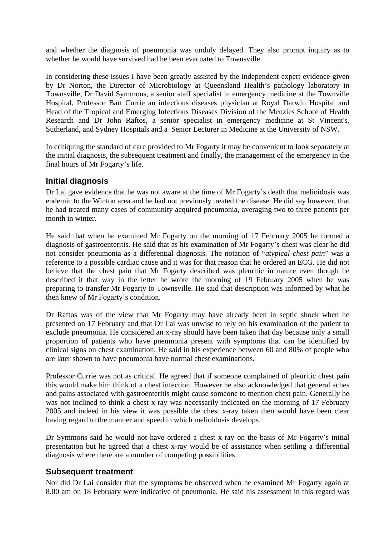<span id="page-12-0"></span>and whether the diagnosis of pneumonia was unduly delayed. They also prompt inquiry as to whether he would have survived had he been evacuated to Townsville.

In considering these issues I have been greatly assisted by the independent expert evidence given by Dr Norton, the Director of Microbiology at Queensland Health's pathology laboratory in Townsville, Dr David Symmons, a senior staff specialist in emergency medicine at the Townville Hospital, Professor Bart Currie an infectious diseases physician at Royal Darwin Hospital and Head of the Tropical and Emerging Infectious Diseases Division of the Menzies School of Health Research and Dr John Raftos, a senior specialist in emergency medicine at St Vincent's, Sutherland, and Sydney Hospitals and a Senior Lecturer in Medicine at the University of NSW.

In critiquing the standard of care provided to Mr Fogarty it may be convenient to look separately at the initial diagnosis, the subsequent treatment and finally, the management of the emergency in the final hours of Mr Fogarty's life.

#### **Initial diagnosis**

Dr Lai gave evidence that he was not aware at the time of Mr Fogarty's death that melioidosis was endemic to the Winton area and he had not previously treated the disease. He did say however, that he had treated many cases of community acquired pneumonia, averaging two to three patients per month in winter.

He said that when he examined Mr Fogarty on the morning of 17 February 2005 he formed a diagnosis of gastroenteritis. He said that as his examination of Mr Fogarty's chest was clear he did not consider pneumonia as a differential diagnosis. The notation of "*atypical chest pain*" was a reference to a possible cardiac cause and it was for that reason that he ordered an ECG. He did not believe that the chest pain that Mr Fogarty described was pleuritic in nature even though he described it that way in the letter he wrote the morning of 19 February 2005 when he was preparing to transfer Mr Fogarty to Townsville. He said that description was informed by what he then knew of Mr Fogarty's condition.

Dr Raftos was of the view that Mr Fogarty may have already been in septic shock when he presented on 17 February and that Dr Lai was unwise to rely on his examination of the patient to exclude pneumonia. He considered an x-ray should have been taken that day because only a small proportion of patients who have pneumonia present with symptoms that can be identified by clinical signs on chest examination. He said in his experience between 60 and 80% of people who are later shown to have pneumonia have normal chest examinations.

Professor Currie was not as critical. He agreed that if someone complained of pleuritic chest pain this would make him think of a chest infection. However he also acknowledged that general aches and pains associated with gastroenteritis might cause someone to mention chest pain. Generally he was not inclined to think a chest x-ray was necessarily indicated on the morning of 17 February 2005 and indeed in his view it was possible the chest x-ray taken then would have been clear having regard to the manner and speed in which melioidosis develops.

Dr Symmons said he would not have ordered a chest x-ray on the basis of Mr Fogarty's initial presentation but he agreed that a chest x-ray would be of assistance when settling a differential diagnosis where there are a number of competing possibilities.

#### **Subsequent treatment**

Nor did Dr Lai consider that the symptoms he observed when he examined Mr Fogarty again at 8.00 am on 18 February were indicative of pneumonia. He said his assessment in this regard was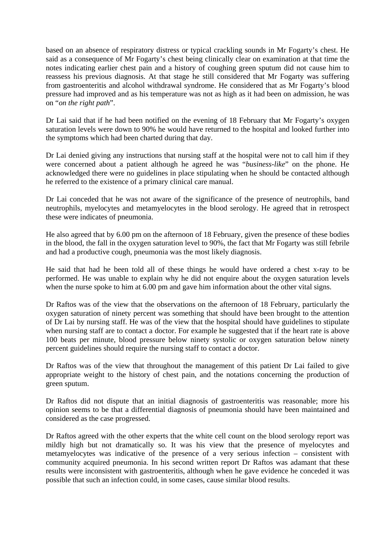based on an absence of respiratory distress or typical crackling sounds in Mr Fogarty's chest. He said as a consequence of Mr Fogarty's chest being clinically clear on examination at that time the notes indicating earlier chest pain and a history of coughing green sputum did not cause him to reassess his previous diagnosis. At that stage he still considered that Mr Fogarty was suffering from gastroenteritis and alcohol withdrawal syndrome. He considered that as Mr Fogarty's blood pressure had improved and as his temperature was not as high as it had been on admission, he was on "*on the right path*".

Dr Lai said that if he had been notified on the evening of 18 February that Mr Fogarty's oxygen saturation levels were down to 90% he would have returned to the hospital and looked further into the symptoms which had been charted during that day.

Dr Lai denied giving any instructions that nursing staff at the hospital were not to call him if they were concerned about a patient although he agreed he was "*business-like*" on the phone. He acknowledged there were no guidelines in place stipulating when he should be contacted although he referred to the existence of a primary clinical care manual.

Dr Lai conceded that he was not aware of the significance of the presence of neutrophils, band neutrophils, myelocytes and metamyelocytes in the blood serology. He agreed that in retrospect these were indicates of pneumonia.

He also agreed that by 6.00 pm on the afternoon of 18 February, given the presence of these bodies in the blood, the fall in the oxygen saturation level to 90%, the fact that Mr Fogarty was still febrile and had a productive cough, pneumonia was the most likely diagnosis.

He said that had he been told all of these things he would have ordered a chest x-ray to be performed. He was unable to explain why he did not enquire about the oxygen saturation levels when the nurse spoke to him at 6.00 pm and gave him information about the other vital signs.

Dr Raftos was of the view that the observations on the afternoon of 18 February, particularly the oxygen saturation of ninety percent was something that should have been brought to the attention of Dr Lai by nursing staff. He was of the view that the hospital should have guidelines to stipulate when nursing staff are to contact a doctor. For example he suggested that if the heart rate is above 100 beats per minute, blood pressure below ninety systolic or oxygen saturation below ninety percent guidelines should require the nursing staff to contact a doctor.

Dr Raftos was of the view that throughout the management of this patient Dr Lai failed to give appropriate weight to the history of chest pain, and the notations concerning the production of green sputum.

Dr Raftos did not dispute that an initial diagnosis of gastroenteritis was reasonable; more his opinion seems to be that a differential diagnosis of pneumonia should have been maintained and considered as the case progressed.

Dr Raftos agreed with the other experts that the white cell count on the blood serology report was mildly high but not dramatically so. It was his view that the presence of myelocytes and metamyelocytes was indicative of the presence of a very serious infection – consistent with community acquired pneumonia. In his second written report Dr Raftos was adamant that these results were inconsistent with gastroenteritis, although when he gave evidence he conceded it was possible that such an infection could, in some cases, cause similar blood results.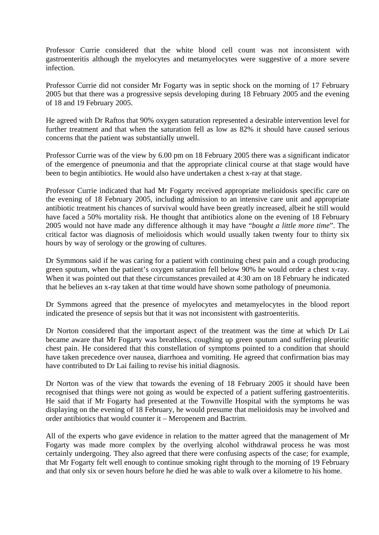Professor Currie considered that the white blood cell count was not inconsistent with gastroenteritis although the myelocytes and metamyelocytes were suggestive of a more severe infection.

Professor Currie did not consider Mr Fogarty was in septic shock on the morning of 17 February 2005 but that there was a progressive sepsis developing during 18 February 2005 and the evening of 18 and 19 February 2005.

He agreed with Dr Raftos that 90% oxygen saturation represented a desirable intervention level for further treatment and that when the saturation fell as low as 82% it should have caused serious concerns that the patient was substantially unwell.

Professor Currie was of the view by 6.00 pm on 18 February 2005 there was a significant indicator of the emergence of pneumonia and that the appropriate clinical course at that stage would have been to begin antibiotics. He would also have undertaken a chest x-ray at that stage.

Professor Currie indicated that had Mr Fogarty received appropriate melioidosis specific care on the evening of 18 February 2005, including admission to an intensive care unit and appropriate antibiotic treatment his chances of survival would have been greatly increased, albeit he still would have faced a 50% mortality risk. He thought that antibiotics alone on the evening of 18 February 2005 would not have made any difference although it may have "*bought a little more time*". The critical factor was diagnosis of melioidosis which would usually taken twenty four to thirty six hours by way of serology or the growing of cultures.

Dr Symmons said if he was caring for a patient with continuing chest pain and a cough producing green sputum, when the patient's oxygen saturation fell below 90% he would order a chest x-ray. When it was pointed out that these circumstances prevailed at 4:30 am on 18 February he indicated that he believes an x-ray taken at that time would have shown some pathology of pneumonia.

Dr Symmons agreed that the presence of myelocytes and metamyelocytes in the blood report indicated the presence of sepsis but that it was not inconsistent with gastroenteritis.

Dr Norton considered that the important aspect of the treatment was the time at which Dr Lai became aware that Mr Fogarty was breathless, coughing up green sputum and suffering pleuritic chest pain. He considered that this constellation of symptoms pointed to a condition that should have taken precedence over nausea, diarrhoea and vomiting. He agreed that confirmation bias may have contributed to Dr Lai failing to revise his initial diagnosis.

Dr Norton was of the view that towards the evening of 18 February 2005 it should have been recognised that things were not going as would be expected of a patient suffering gastroenteritis. He said that if Mr Fogarty had presented at the Townville Hospital with the symptoms he was displaying on the evening of 18 February, he would presume that melioidosis may be involved and order antibiotics that would counter it – Meropenem and Bactrim.

All of the experts who gave evidence in relation to the matter agreed that the management of Mr Fogarty was made more complex by the overlying alcohol withdrawal process he was most certainly undergoing. They also agreed that there were confusing aspects of the case; for example, that Mr Fogarty felt well enough to continue smoking right through to the morning of 19 February and that only six or seven hours before he died he was able to walk over a kilometre to his home.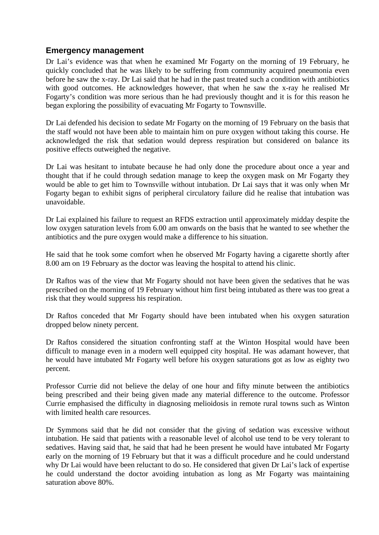#### <span id="page-15-0"></span>**Emergency management**

Dr Lai's evidence was that when he examined Mr Fogarty on the morning of 19 February, he quickly concluded that he was likely to be suffering from community acquired pneumonia even before he saw the x-ray. Dr Lai said that he had in the past treated such a condition with antibiotics with good outcomes. He acknowledges however, that when he saw the x-ray he realised Mr Fogarty's condition was more serious than he had previously thought and it is for this reason he began exploring the possibility of evacuating Mr Fogarty to Townsville.

Dr Lai defended his decision to sedate Mr Fogarty on the morning of 19 February on the basis that the staff would not have been able to maintain him on pure oxygen without taking this course. He acknowledged the risk that sedation would depress respiration but considered on balance its positive effects outweighed the negative.

Dr Lai was hesitant to intubate because he had only done the procedure about once a year and thought that if he could through sedation manage to keep the oxygen mask on Mr Fogarty they would be able to get him to Townsville without intubation. Dr Lai says that it was only when Mr Fogarty began to exhibit signs of peripheral circulatory failure did he realise that intubation was unavoidable.

Dr Lai explained his failure to request an RFDS extraction until approximately midday despite the low oxygen saturation levels from 6.00 am onwards on the basis that he wanted to see whether the antibiotics and the pure oxygen would make a difference to his situation.

He said that he took some comfort when he observed Mr Fogarty having a cigarette shortly after 8.00 am on 19 February as the doctor was leaving the hospital to attend his clinic.

Dr Raftos was of the view that Mr Fogarty should not have been given the sedatives that he was prescribed on the morning of 19 February without him first being intubated as there was too great a risk that they would suppress his respiration.

Dr Raftos conceded that Mr Fogarty should have been intubated when his oxygen saturation dropped below ninety percent.

Dr Raftos considered the situation confronting staff at the Winton Hospital would have been difficult to manage even in a modern well equipped city hospital. He was adamant however, that he would have intubated Mr Fogarty well before his oxygen saturations got as low as eighty two percent.

Professor Currie did not believe the delay of one hour and fifty minute between the antibiotics being prescribed and their being given made any material difference to the outcome. Professor Currie emphasised the difficulty in diagnosing melioidosis in remote rural towns such as Winton with limited health care resources.

Dr Symmons said that he did not consider that the giving of sedation was excessive without intubation. He said that patients with a reasonable level of alcohol use tend to be very tolerant to sedatives. Having said that, he said that had he been present he would have intubated Mr Fogarty early on the morning of 19 February but that it was a difficult procedure and he could understand why Dr Lai would have been reluctant to do so. He considered that given Dr Lai's lack of expertise he could understand the doctor avoiding intubation as long as Mr Fogarty was maintaining saturation above 80%.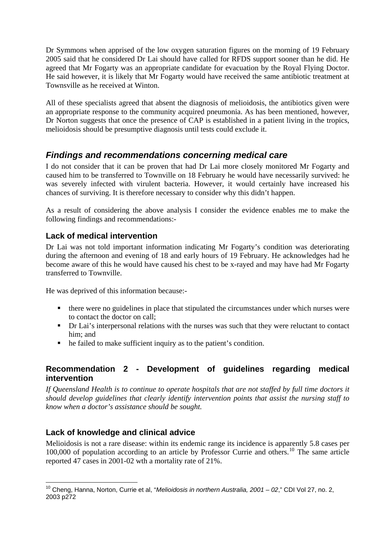<span id="page-16-0"></span>Dr Symmons when apprised of the low oxygen saturation figures on the morning of 19 February 2005 said that he considered Dr Lai should have called for RFDS support sooner than he did. He agreed that Mr Fogarty was an appropriate candidate for evacuation by the Royal Flying Doctor. He said however, it is likely that Mr Fogarty would have received the same antibiotic treatment at Townsville as he received at Winton.

All of these specialists agreed that absent the diagnosis of melioidosis, the antibiotics given were an appropriate response to the community acquired pneumonia. As has been mentioned, however, Dr Norton suggests that once the presence of CAP is established in a patient living in the tropics, melioidosis should be presumptive diagnosis until tests could exclude it.

# *Findings and recommendations concerning medical care*

I do not consider that it can be proven that had Dr Lai more closely monitored Mr Fogarty and caused him to be transferred to Townville on 18 February he would have necessarily survived: he was severely infected with virulent bacteria. However, it would certainly have increased his chances of surviving. It is therefore necessary to consider why this didn't happen.

As a result of considering the above analysis I consider the evidence enables me to make the following findings and recommendations:-

## **Lack of medical intervention**

Dr Lai was not told important information indicating Mr Fogarty's condition was deteriorating during the afternoon and evening of 18 and early hours of 19 February. He acknowledges had he become aware of this he would have caused his chest to be x-rayed and may have had Mr Fogarty transferred to Townville.

He was deprived of this information because:-

- there were no guidelines in place that stipulated the circumstances under which nurses were to contact the doctor on call;
- Dr Lai's interpersonal relations with the nurses was such that they were reluctant to contact him; and
- he failed to make sufficient inquiry as to the patient's condition.

### **Recommendation 2 - Development of guidelines regarding medical intervention**

*If Queensland Health is to continue to operate hospitals that are not staffed by full time doctors it should develop guidelines that clearly identify intervention points that assist the nursing staff to know when a doctor's assistance should be sought.* 

### **Lack of knowledge and clinical advice**

Melioidosis is not a rare disease: within its endemic range its incidence is apparently 5.8 cases per  $100,000$  $100,000$  of population according to an article by Professor Currie and others.<sup>10</sup> The same article reported 47 cases in 2001-02 wth a mortality rate of 21%.

<span id="page-16-1"></span><sup>1</sup> 10 Cheng, Hanna, Norton, Currie et al, "*Melioidosis in northern Australia, 2001 – 02*," CDI Vol 27, no. 2, 2003 p272